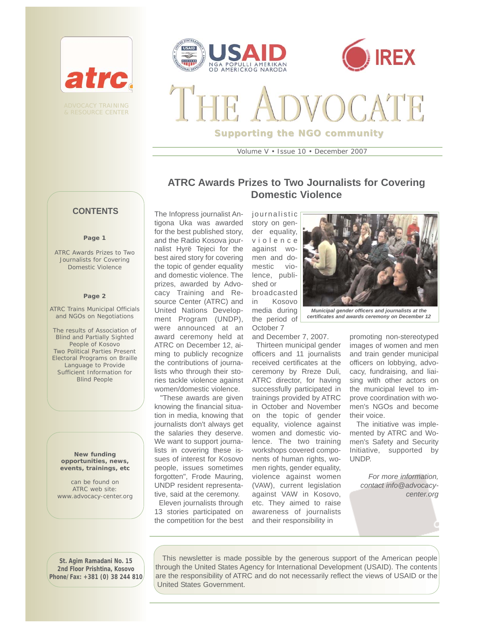



**Supporting the NGO community**

Volume V • Issue 10 • December 2007

# **ATRC Awards Prizes to Two Journalists for Covering Domestic Violence**

### **CONTENTS**

ADVOCACY TRAINING & RESOURCE CENTER

atrc

### **Page 1**

ATRC Awards Prizes to Two Journalists for Covering Domestic Violence

### **Page 2**

ATRC Trains Municipal Officials and NGOs on Negotiations

*The results of Association of Blind and Partially Sighted People of Kosovo*  Two Political Parties Present Electoral Programs on Braille Language to Provide Sufficient Information for Blind People

**New funding opportunities, news, events, trainings, etc** 

can be found on ATRC web site: www.advocacy-center.org

The Infopress journalist Antigona Uka was awarded for the best published story, and the Radio Kosova journalist Hyrë Tejeci for the best aired story for covering the topic of gender equality and domestic violence. The prizes, awarded by Advocacy Training and Resource Center (ATRC) and United Nations Development Program (UNDP), were announced at an award ceremony held at ATRC on December 12, aiming to publicly recognize the contributions of journalists who through their stories tackle violence against women/domestic violence.

"These awards are given knowing the financial situation in media, knowing that journalists don't always get the salaries they deserve. We want to support journalists in covering these issues of interest for Kosovo people, issues sometimes forgotten", Frode Mauring, UNDP resident representative, said at the ceremony. Eleven journalists through

13 stories participated on the competition for the best journalistic story on gender equality, violence against women and domestic violence, published or broadcasted in Kosovo media during the period of October 7 and December 7, 2007.

Thirteen municipal gender officers and 11 journalists received certificates at the ceremony by Rreze Duli, ATRC director, for having successfully participated in trainings provided by ATRC in October and November on the topic of gender equality, violence against women and domestic violence. The two training workshops covered components of human rights, women rights, gender equality, violence against women (VAW), current legislation against VAW in Kosovo, etc. They aimed to raise awareness of journalists and their responsibility in



*Municipal gender officers and journalists at the certificates and awards ceremony on December 12* 

promoting non-stereotyped images of women and men and train gender municipal officers on lobbying, advocacy, fundraising, and liaising with other actors on the municipal level to improve coordination with women's NGOs and become their voice.

The initiative was implemented by ATRC and Women's Safety and Security Initiative, supported by UNDP.

*For more information, contact info@advocacycenter.org*

**St. Agim Ramadani No. 15 2nd Floor Prishtina, Kosovo Phone/Fax: +381 (0) 38 244 810**

This newsletter is made possible by the generous support of the American people through the United States Agency for International Development (USAID). The contents are the responsibility of ATRC and do not necessarily reflect the views of USAID or the United States Government.